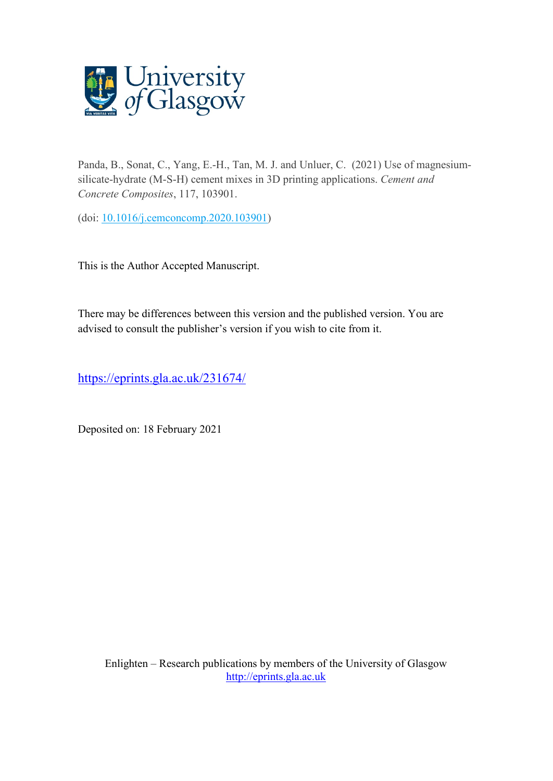

Panda, B., Sonat, C., Yang, E.-H., Tan, M. J. and Unluer, C. (2021) Use of magnesiumsilicate-hydrate (M-S-H) cement mixes in 3D printing applications. *Cement and Concrete Composites*, 117, 103901.

(doi: [10.1016/j.cemconcomp.2020.103901\)](http://dx.doi.org/10.1016/j.cemconcomp.2020.103901)

This is the Author Accepted Manuscript.

There may be differences between this version and the published version. You are advised to consult the publisher's version if you wish to cite from it.

<https://eprints.gla.ac.uk/231674/>

Deposited on: 18 February 2021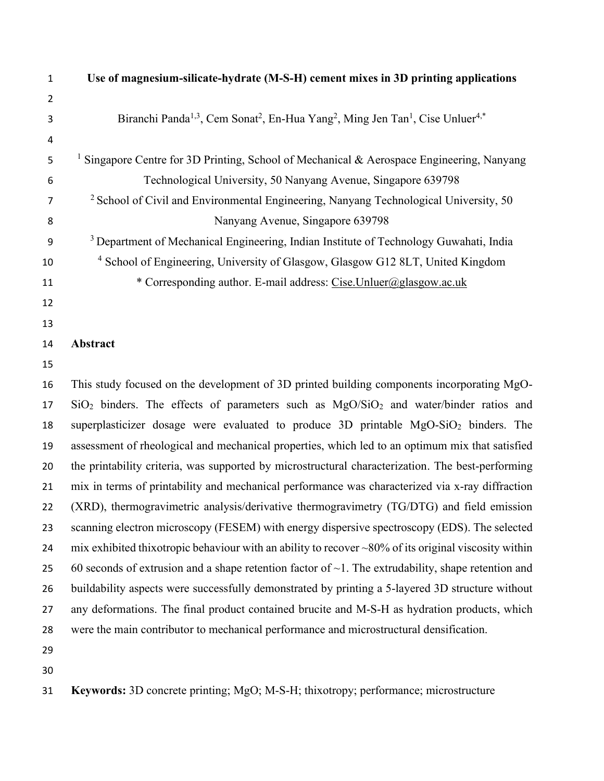| $\mathbf 1$    | Use of magnesium-silicate-hydrate (M-S-H) cement mixes in 3D printing applications                                                         |
|----------------|--------------------------------------------------------------------------------------------------------------------------------------------|
| $\overline{2}$ |                                                                                                                                            |
| 3              | Biranchi Panda <sup>1,3</sup> , Cem Sonat <sup>2</sup> , En-Hua Yang <sup>2</sup> , Ming Jen Tan <sup>1</sup> , Cise Unluer <sup>4,*</sup> |
| 4              |                                                                                                                                            |
| 5              | <sup>1</sup> Singapore Centre for 3D Printing, School of Mechanical & Aerospace Engineering, Nanyang                                       |
| 6              | Technological University, 50 Nanyang Avenue, Singapore 639798                                                                              |
| $\overline{7}$ | <sup>2</sup> School of Civil and Environmental Engineering, Nanyang Technological University, 50                                           |
| 8              | Nanyang Avenue, Singapore 639798                                                                                                           |
| 9              | <sup>3</sup> Department of Mechanical Engineering, Indian Institute of Technology Guwahati, India                                          |
| 10             | <sup>4</sup> School of Engineering, University of Glasgow, Glasgow G12 8LT, United Kingdom                                                 |
| 11             | * Corresponding author. E-mail address: Cise.Unluer@glasgow.ac.uk                                                                          |
| 12             |                                                                                                                                            |
| 13             |                                                                                                                                            |
| 14             | Abstract                                                                                                                                   |
| 15             |                                                                                                                                            |
| 16             | This study focused on the development of 3D printed building components incorporating MgO-                                                 |
| 17             | $SiO2$ binders. The effects of parameters such as $MgO/SiO2$ and water/binder ratios and                                                   |
| 18             | superplasticizer dosage were evaluated to produce 3D printable $MgO-SiO2$ binders. The                                                     |
| 19             | assessment of rheological and mechanical properties, which led to an optimum mix that satisfied                                            |
| 20             | the printability criteria, was supported by microstructural characterization. The best-performing                                          |
| 21             | mix in terms of printability and mechanical performance was characterized via x-ray diffraction                                            |
| 22             | (XRD), thermogravimetric analysis/derivative thermogravimetry (TG/DTG) and field emission                                                  |
| 23             | scanning electron microscopy (FESEM) with energy dispersive spectroscopy (EDS). The selected                                               |
| 24             | mix exhibited thixotropic behaviour with an ability to recover $\sim 80\%$ of its original viscosity within                                |
| 25             | 60 seconds of extrusion and a shape retention factor of $\sim$ 1. The extrudability, shape retention and                                   |
| 26             | buildability aspects were successfully demonstrated by printing a 5-layered 3D structure without                                           |
| 27             | any deformations. The final product contained brucite and M-S-H as hydration products, which                                               |
| 28             | were the main contributor to mechanical performance and microstructural densification.                                                     |
| 29             |                                                                                                                                            |
| 30             |                                                                                                                                            |

**Keywords:** 3D concrete printing; MgO; M-S-H; thixotropy; performance; microstructure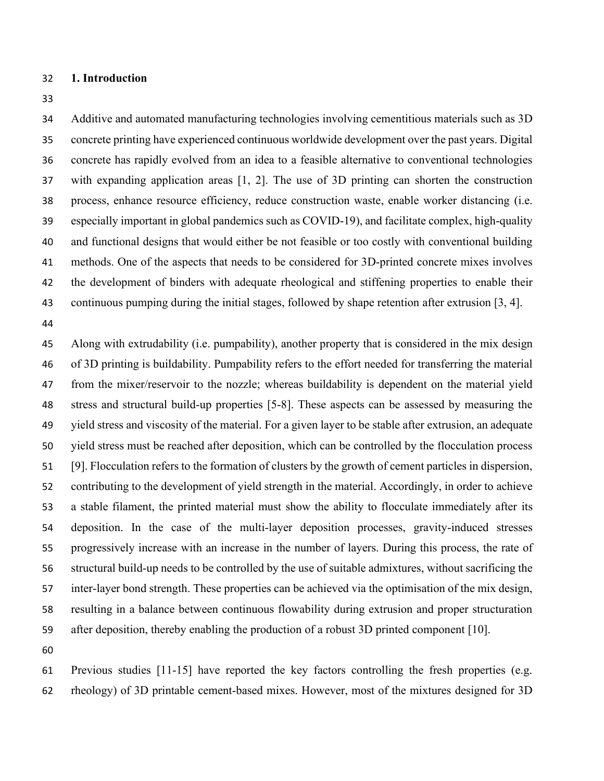#### **1. Introduction**

 Additive and automated manufacturing technologies involving cementitious materials such as 3D concrete printing have experienced continuous worldwide development over the past years. Digital concrete has rapidly evolved from an idea to a feasible alternative to conventional technologies with expanding application areas [1, 2]. The use of 3D printing can shorten the construction process, enhance resource efficiency, reduce construction waste, enable worker distancing (i.e. especially important in global pandemics such as COVID-19), and facilitate complex, high-quality and functional designs that would either be not feasible or too costly with conventional building methods. One of the aspects that needs to be considered for 3D-printed concrete mixes involves the development of binders with adequate rheological and stiffening properties to enable their continuous pumping during the initial stages, followed by shape retention after extrusion [3, 4].

 Along with extrudability (i.e. pumpability), another property that is considered in the mix design of 3D printing is buildability. Pumpability refers to the effort needed for transferring the material from the mixer/reservoir to the nozzle; whereas buildability is dependent on the material yield stress and structural build-up properties [5-8]. These aspects can be assessed by measuring the yield stress and viscosity of the material. For a given layer to be stable after extrusion, an adequate yield stress must be reached after deposition, which can be controlled by the flocculation process [9]. Flocculation refers to the formation of clusters by the growth of cement particles in dispersion, contributing to the development of yield strength in the material. Accordingly, in order to achieve a stable filament, the printed material must show the ability to flocculate immediately after its deposition. In the case of the multi-layer deposition processes, gravity-induced stresses progressively increase with an increase in the number of layers. During this process, the rate of structural build-up needs to be controlled by the use of suitable admixtures, without sacrificing the inter-layer bond strength. These properties can be achieved via the optimisation of the mix design, resulting in a balance between continuous flowability during extrusion and proper structuration after deposition, thereby enabling the production of a robust 3D printed component [10].

 Previous studies [11-15] have reported the key factors controlling the fresh properties (e.g. rheology) of 3D printable cement-based mixes. However, most of the mixtures designed for 3D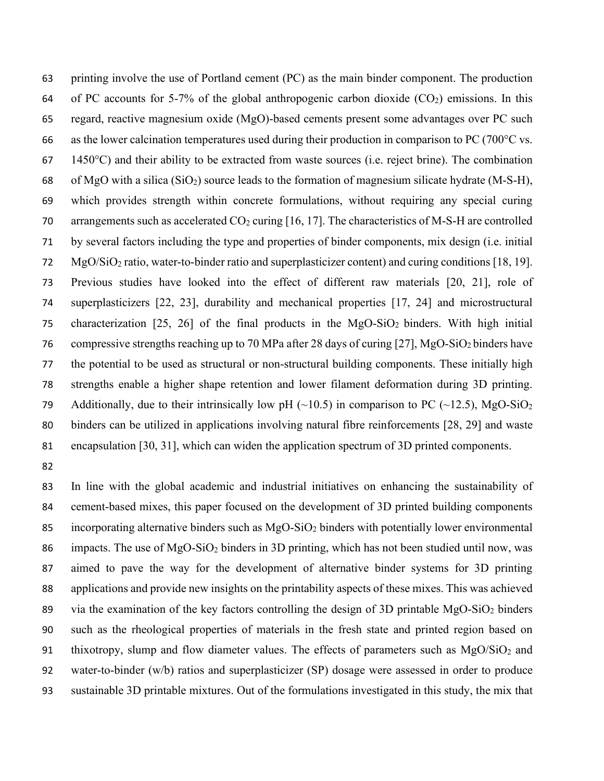printing involve the use of Portland cement (PC) as the main binder component. The production 64 of PC accounts for 5-7% of the global anthropogenic carbon dioxide  $(CO<sub>2</sub>)$  emissions. In this regard, reactive magnesium oxide (MgO)-based cements present some advantages over PC such as the lower calcination temperatures used during their production in comparison to PC (700°C vs. 1450°C) and their ability to be extracted from waste sources (i.e. reject brine). The combination 68 of MgO with a silica  $(SiO_2)$  source leads to the formation of magnesium silicate hydrate (M-S-H), which provides strength within concrete formulations, without requiring any special curing 70 arrangements such as accelerated  $CO_2$  curing [16, 17]. The characteristics of M-S-H are controlled by several factors including the type and properties of binder components, mix design (i.e. initial MgO/SiO<sup>2</sup> ratio, water-to-binder ratio and superplasticizer content) and curing conditions [18, 19]. Previous studies have looked into the effect of different raw materials [20, 21], role of superplasticizers [22, 23], durability and mechanical properties [17, 24] and microstructural 75 characterization  $[25, 26]$  of the final products in the MgO-SiO<sub>2</sub> binders. With high initial 76 compressive strengths reaching up to 70 MPa after 28 days of curing [27], MgO-SiO<sub>2</sub> binders have the potential to be used as structural or non-structural building components. These initially high strengths enable a higher shape retention and lower filament deformation during 3D printing. 79 Additionally, due to their intrinsically low pH  $(\sim 10.5)$  in comparison to PC  $(\sim 12.5)$ , MgO-SiO<sub>2</sub> binders can be utilized in applications involving natural fibre reinforcements [28, 29] and waste encapsulation [30, 31], which can widen the application spectrum of 3D printed components.

 In line with the global academic and industrial initiatives on enhancing the sustainability of cement-based mixes, this paper focused on the development of 3D printed building components 85 incorporating alternative binders such as  $MgO-SiO<sub>2</sub>$  binders with potentially lower environmental 86 impacts. The use of  $MgO-SiO<sub>2</sub>$  binders in 3D printing, which has not been studied until now, was aimed to pave the way for the development of alternative binder systems for 3D printing applications and provide new insights on the printability aspects of these mixes. This was achieved 89 via the examination of the key factors controlling the design of 3D printable  $MgO-SiO<sub>2</sub>$  binders such as the rheological properties of materials in the fresh state and printed region based on 91 thixotropy, slump and flow diameter values. The effects of parameters such as  $MgO/SiO<sub>2</sub>$  and water-to-binder (w/b) ratios and superplasticizer (SP) dosage were assessed in order to produce sustainable 3D printable mixtures. Out of the formulations investigated in this study, the mix that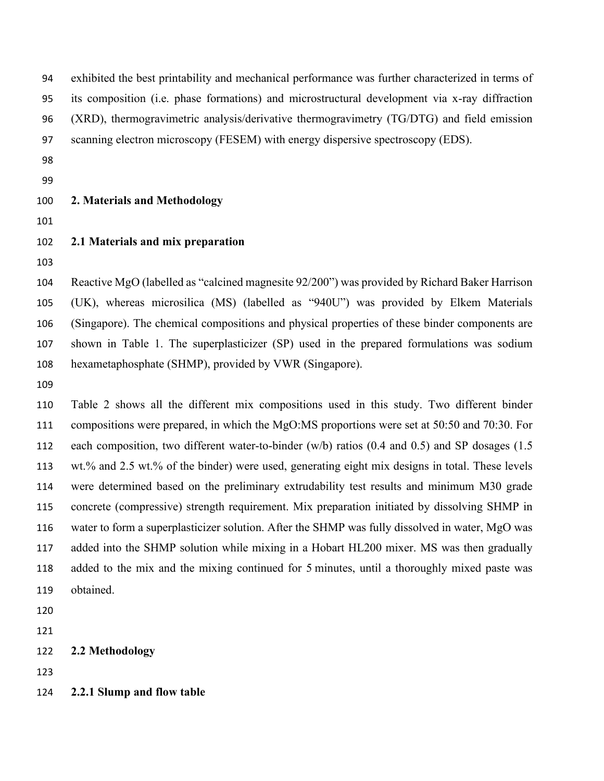| 94  | exhibited the best printability and mechanical performance was further characterized in terms of |
|-----|--------------------------------------------------------------------------------------------------|
| 95  | its composition (i.e. phase formations) and microstructural development via x-ray diffraction    |
| 96  | (XRD), thermogravimetric analysis/derivative thermogravimetry (TG/DTG) and field emission        |
| 97  | scanning electron microscopy (FESEM) with energy dispersive spectroscopy (EDS).                  |
| 98  |                                                                                                  |
| 99  |                                                                                                  |
| 100 | 2. Materials and Methodology                                                                     |
| 101 |                                                                                                  |
| 102 | 2.1 Materials and mix preparation                                                                |
| 103 |                                                                                                  |
| 104 | Reactive MgO (labelled as "calcined magnesite 92/200") was provided by Richard Baker Harrison    |
| 105 | (UK), whereas microsilica (MS) (labelled as "940U") was provided by Elkem Materials              |
| 106 | (Singapore). The chemical compositions and physical properties of these binder components are    |
| 107 | shown in Table 1. The superplasticizer (SP) used in the prepared formulations was sodium         |
| 108 | hexametaphosphate (SHMP), provided by VWR (Singapore).                                           |
| 109 |                                                                                                  |
| 110 | Table 2 shows all the different mix compositions used in this study. Two different binder        |
| 111 | compositions were prepared, in which the MgO:MS proportions were set at 50:50 and 70:30. For     |
| 112 | each composition, two different water-to-binder (w/b) ratios (0.4 and 0.5) and SP dosages (1.5   |
| 113 | wt.% and 2.5 wt.% of the binder) were used, generating eight mix designs in total. These levels  |
| 114 | were determined based on the preliminary extrudability test results and minimum M30 grade        |
| 115 | concrete (compressive) strength requirement. Mix preparation initiated by dissolving SHMP in     |
| 116 | water to form a superplasticizer solution. After the SHMP was fully dissolved in water, MgO was  |
| 117 | added into the SHMP solution while mixing in a Hobart HL200 mixer. MS was then gradually         |
| 118 | added to the mix and the mixing continued for 5 minutes, until a thoroughly mixed paste was      |
| 119 | obtained.                                                                                        |

- 
- 
- **2.2 Methodology**
- 
- **2.2.1 Slump and flow table**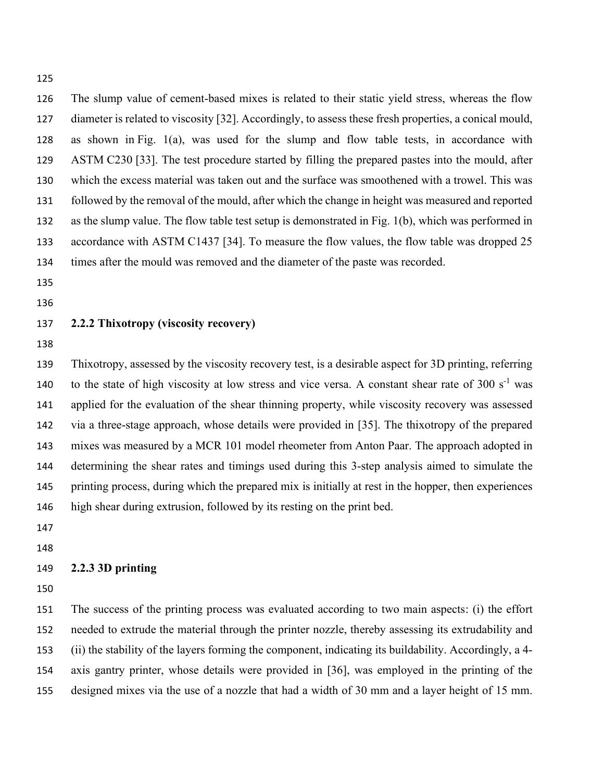The slump value of cement-based mixes is related to their static yield stress, whereas the flow 127 diameter is related to viscosity [32]. Accordingly, to assess these fresh properties, a conical mould, as shown in [Fig. 1\(](https://www.sciencedirect.com/science/article/pii/S1359836819307644#fig2)a), was used for the slump and flow table tests, in accordance with ASTM [C230](http://www.astm.org/Standards/C230) [33]. The test procedure started by filling the prepared pastes into the mould, after which the excess material was taken out and the surface was smoothened with a trowel. This was followed by the removal of the mould, after which the change in height was measured and reported as the slump value. The flow table test setup is demonstrated in Fig. 1(b), which was performed in accordance with ASTM [C1437](http://www.astm.org/Standards/C1437) [34]. To measure the flow values, the flow table was dropped 25 times after the mould was removed and the diameter of the paste was recorded.

- 
- 

# **2.2.2 Thixotropy (viscosity recovery)**

 Thixotropy, assessed by the viscosity recovery test, is a desirable aspect for 3D printing, referring 140 to the state of high viscosity at low stress and vice versa. A constant shear rate of  $300 \text{ s}^{-1}$  was applied for the evaluation of the shear thinning property, while viscosity recovery was assessed via a three-stage approach, whose details were provided in [35]. The thixotropy of the prepared mixes was measured by a MCR 101 model rheometer from Anton Paar. The approach adopted in determining the shear rates and timings used during this 3-step analysis aimed to simulate the printing process, during which the prepared mix is initially at rest in the hopper, then experiences high shear during extrusion, followed by its resting on the print bed.

 

#### **2.2.3 3D printing**

 The success of the printing process was evaluated according to two main aspects: (i) the effort needed to extrude the material through the printer nozzle, thereby assessing its extrudability and (ii) the stability of the layers forming the component, indicating its buildability. Accordingly, a 4- axis gantry printer, whose details were provided in [36], was employed in the printing of the designed mixes via the use of a nozzle that had a width of 30 mm and a layer height of 15 mm.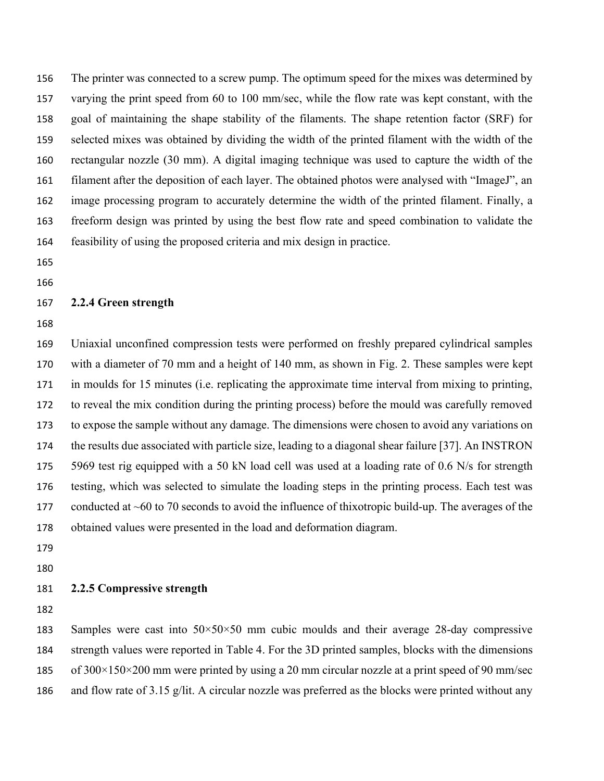The printer was connected to a screw pump. The optimum speed for the mixes was determined by varying the print speed from 60 to 100 mm/sec, while the flow rate was kept constant, with the goal of maintaining the shape stability of the filaments. The shape retention factor (SRF) for selected mixes was obtained by dividing the width of the printed filament with the width of the rectangular nozzle (30 mm). A digital imaging technique was used to capture the width of the filament after the deposition of each layer. The obtained photos were analysed with "ImageJ", an image processing program to accurately determine the width of the printed filament. Finally, a freeform design was printed by using the best flow rate and speed combination to validate the feasibility of using the proposed criteria and mix design in practice.

 

#### **2.2.4 Green strength**

 Uniaxial unconfined compression tests were performed on freshly prepared cylindrical samples with a diameter of 70 mm and a height of 140 mm, as shown in Fig. 2. These samples were kept in moulds for 15 minutes (i.e. replicating the approximate time interval from mixing to printing, to reveal the mix condition during the printing process) before the mould was carefully removed to expose the sample without any damage. The dimensions were chosen to avoid any variations on the results due associated with particle size, leading to a diagonal shear failure [37]. An INSTRON 175 5969 test rig equipped with a 50 kN load cell was used at a loading rate of 0.6 N/s for strength testing, which was selected to simulate the loading steps in the printing process. Each test was conducted at ~60 to 70 seconds to avoid the influence of thixotropic build-up. The averages of the obtained values were presented in the load and deformation diagram.

- 
- 

#### **2.2.5 Compressive strength**

183 Samples were cast into  $50 \times 50 \times 50$  mm cubic moulds and their average 28-day compressive strength values were reported in Table 4. For the 3D printed samples, blocks with the dimensions of 300×150×200 mm were printed by using a 20 mm circular nozzle at a print speed of 90 mm/sec and flow rate of 3.15 g/lit. A circular nozzle was preferred as the blocks were printed without any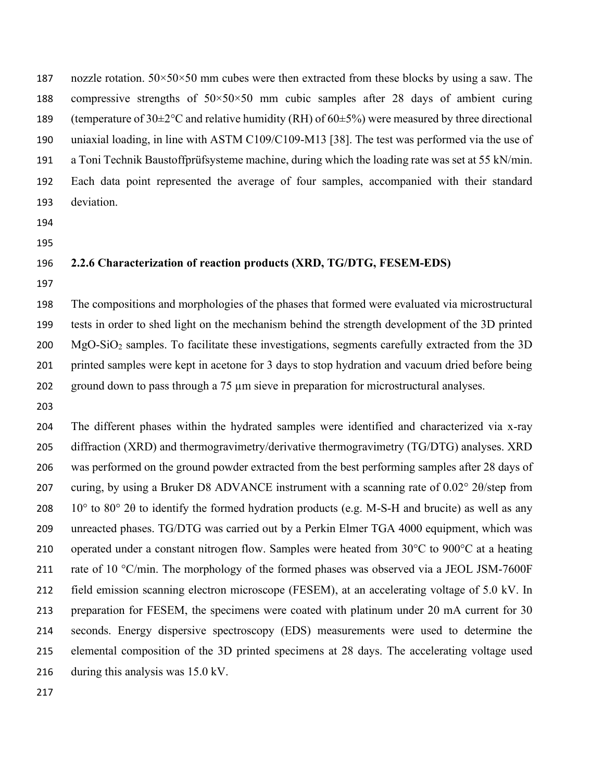187 nozzle rotation.  $50 \times 50 \times 50$  mm cubes were then extracted from these blocks by using a saw. The 188 compressive strengths of  $50 \times 50 \times 50$  mm cubic samples after 28 days of ambient curing 189 (temperature of  $30\pm2\degree$ C and relative humidity (RH) of  $60\pm5\%$ ) were measured by three directional uniaxial loading, in line with ASTM C109/C109-M13 [38]. The test was performed via the use of a Toni Technik Baustoffprüfsysteme machine, during which the loading rate was set at 55 kN/min. Each data point represented the average of four samples, accompanied with their standard deviation.

- 
- 

## **2.2.6 Characterization of reaction products (XRD, TG/DTG, FESEM-EDS)**

 The compositions and morphologies of the phases that formed were evaluated via microstructural tests in order to shed light on the mechanism behind the strength development of the 3D printed MgO-SiO<sup>2</sup> samples. To facilitate these investigations, segments carefully extracted from the 3D printed samples were kept in acetone for 3 days to stop hydration and vacuum dried before being ground down to pass through a 75 µm sieve in preparation for microstructural analyses.

 The different phases within the hydrated samples were identified and characterized via x-ray 205 diffraction (XRD) and thermogravimetry/derivative thermogravimetry (TG/DTG) analyses. XRD was performed on the ground powder extracted from the best performing samples after 28 days of curing, by using a Bruker D8 ADVANCE instrument with a scanning rate of 0.02° 2θ/step from 208 10° to 80° 2 $\theta$  to identify the formed hydration products (e.g. M-S-H and brucite) as well as any unreacted phases. TG/DTG was carried out by a Perkin Elmer TGA 4000 equipment, which was 210 operated under a constant nitrogen flow. Samples were heated from  $30^{\circ}$ C to  $900^{\circ}$ C at a heating 211 rate of 10  $\degree$ C/min. The morphology of the formed phases was observed via a JEOL JSM-7600F field emission scanning electron microscope (FESEM), at an accelerating voltage of 5.0 kV. In 213 preparation for FESEM, the specimens were coated with platinum under 20 mA current for 30 seconds. Energy dispersive spectroscopy (EDS) measurements were used to determine the elemental composition of the 3D printed specimens at 28 days. The accelerating voltage used during this analysis was 15.0 kV.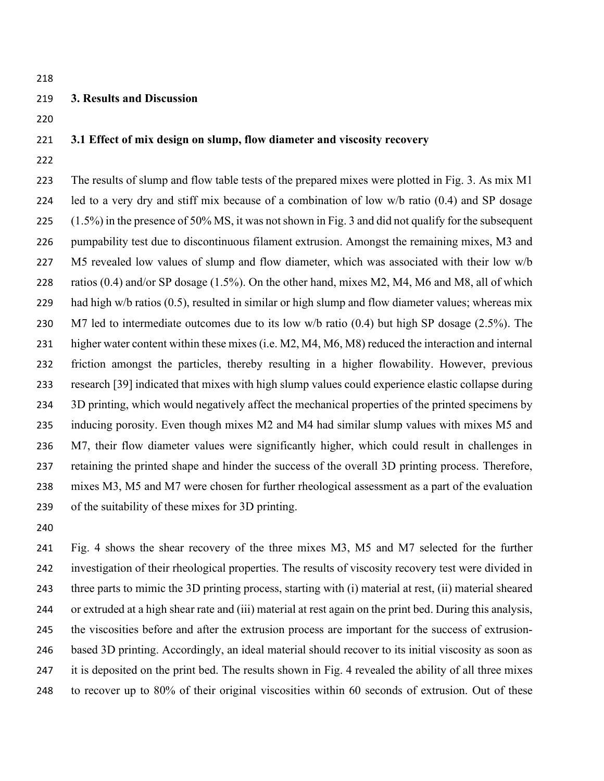## **3. Results and Discussion**

#### **3.1 Effect of mix design on slump, flow diameter and viscosity recovery**

 The results of slump and flow table tests of the prepared mixes were plotted in Fig. 3. As mix M1 led to a very dry and stiff mix because of a combination of low w/b ratio (0.4) and SP dosage (1.5%) in the presence of 50% MS, it was not shown in Fig. 3 and did not qualify for the subsequent pumpability test due to discontinuous filament extrusion. Amongst the remaining mixes, M3 and M5 revealed low values of slump and flow diameter, which was associated with their low w/b ratios (0.4) and/or SP dosage (1.5%). On the other hand, mixes M2, M4, M6 and M8, all of which 229 had high w/b ratios (0.5), resulted in similar or high slump and flow diameter values; whereas mix 230 M7 led to intermediate outcomes due to its low w/b ratio (0.4) but high SP dosage (2.5%). The higher water content within these mixes (i.e. M2, M4, M6, M8) reduced the interaction and internal friction amongst the particles, thereby resulting in a higher flowability. However, previous research [39] indicated that mixes with high slump values could experience elastic collapse during 234 3D printing, which would negatively affect the mechanical properties of the printed specimens by inducing porosity. Even though mixes M2 and M4 had similar slump values with mixes M5 and M7, their flow diameter values were significantly higher, which could result in challenges in retaining the printed shape and hinder the success of the overall 3D printing process. Therefore, mixes M3, M5 and M7 were chosen for further rheological assessment as a part of the evaluation of the suitability of these mixes for 3D printing.

 Fig. 4 shows the shear recovery of the three mixes M3, M5 and M7 selected for the further investigation of their rheological properties. The results of viscosity recovery test were divided in three parts to mimic the 3D printing process, starting with (i) material at rest, (ii) material sheared or extruded at a high shear rate and (iii) material at rest again on the print bed. During this analysis, the viscosities before and after the extrusion process are important for the success of extrusion- based 3D printing. Accordingly, an ideal material should recover to its initial viscosity as soon as it is deposited on the print bed. The results shown in Fig. 4 revealed the ability of all three mixes to recover up to 80% of their original viscosities within 60 seconds of extrusion. Out of these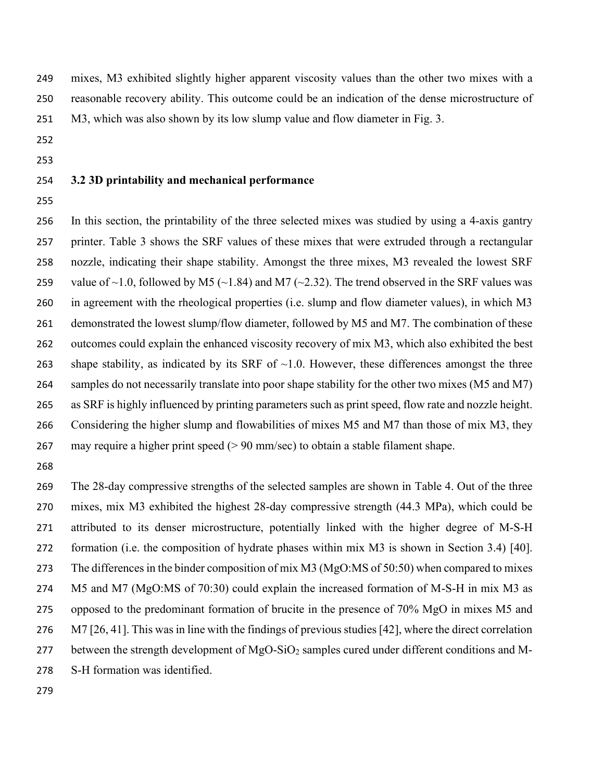mixes, M3 exhibited slightly higher apparent viscosity values than the other two mixes with a reasonable recovery ability. This outcome could be an indication of the dense microstructure of M3, which was also shown by its low slump value and flow diameter in Fig. 3.

- 
- 

## **3.2 3D printability and mechanical performance**

 In this section, the printability of the three selected mixes was studied by using a 4-axis gantry printer. Table 3 shows the SRF values of these mixes that were extruded through a rectangular nozzle, indicating their shape stability. Amongst the three mixes, M3 revealed the lowest SRF 259 value of ~1.0, followed by M5 (~1.84) and M7 (~2.32). The trend observed in the SRF values was in agreement with the rheological properties (i.e. slump and flow diameter values), in which M3 261 demonstrated the lowest slump/flow diameter, followed by M5 and M7. The combination of these outcomes could explain the enhanced viscosity recovery of mix M3, which also exhibited the best 263 shape stability, as indicated by its SRF of  $\sim$ 1.0. However, these differences amongst the three samples do not necessarily translate into poor shape stability for the other two mixes (M5 and M7) as SRF is highly influenced by printing parameters such as print speed, flow rate and nozzle height. Considering the higher slump and flowabilities of mixes M5 and M7 than those of mix M3, they may require a higher print speed (> 90 mm/sec) to obtain a stable filament shape.

 The 28-day compressive strengths of the selected samples are shown in Table 4. Out of the three mixes, mix M3 exhibited the highest 28-day compressive strength (44.3 MPa), which could be attributed to its denser microstructure, potentially linked with the higher degree of M-S-H formation (i.e. the composition of hydrate phases within mix M3 is shown in Section 3.4) [40]. The differences in the binder composition of mix M3 (MgO:MS of 50:50) when compared to mixes M5 and M7 (MgO:MS of 70:30) could explain the increased formation of M-S-H in mix M3 as opposed to the predominant formation of brucite in the presence of 70% MgO in mixes M5 and M7 [26, 41]. This was in line with the findings of previous studies [42], where the direct correlation 277 between the strength development of MgO-SiO<sub>2</sub> samples cured under different conditions and M-S-H formation was identified.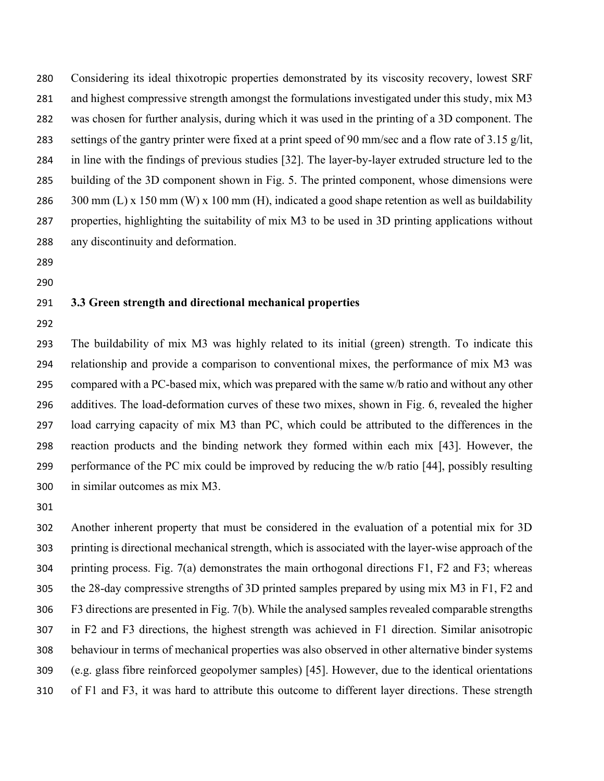Considering its ideal thixotropic properties demonstrated by its viscosity recovery, lowest SRF and highest compressive strength amongst the formulations investigated under this study, mix M3 was chosen for further analysis, during which it was used in the printing of a 3D component. The settings of the gantry printer were fixed at a print speed of 90 mm/sec and a flow rate of 3.15 g/lit, in line with the findings of previous studies [32]. The layer-by-layer extruded structure led to the building of the 3D component shown in Fig. 5. The printed component, whose dimensions were 286 300 mm (L) x 150 mm (W) x 100 mm (H), indicated a good shape retention as well as buildability properties, highlighting the suitability of mix M3 to be used in 3D printing applications without any discontinuity and deformation.

 

#### **3.3 Green strength and directional mechanical properties**

 The buildability of mix M3 was highly related to its initial (green) strength. To indicate this relationship and provide a comparison to conventional mixes, the performance of mix M3 was compared with a PC-based mix, which was prepared with the same w/b ratio and without any other additives. The load-deformation curves of these two mixes, shown in Fig. 6, revealed the higher load carrying capacity of mix M3 than PC, which could be attributed to the differences in the reaction products and the binding network they formed within each mix [43]. However, the performance of the PC mix could be improved by reducing the w/b ratio [44], possibly resulting in similar outcomes as mix M3.

 Another inherent property that must be considered in the evaluation of a potential mix for 3D printing is directional mechanical strength, which is associated with the layer-wise approach of the printing process. Fig. 7(a) demonstrates the main orthogonal directions F1, F2 and F3; whereas the 28-day compressive strengths of 3D printed samples prepared by using mix M3 in F1, F2 and F3 directions are presented in Fig. 7(b). While the analysed samples revealed comparable strengths in F2 and F3 directions, the highest strength was achieved in F1 direction. Similar anisotropic behaviour in terms of mechanical properties was also observed in other alternative binder systems (e.g. glass fibre reinforced geopolymer samples) [45]. However, due to the identical orientations of F1 and F3, it was hard to attribute this outcome to different layer directions. These strength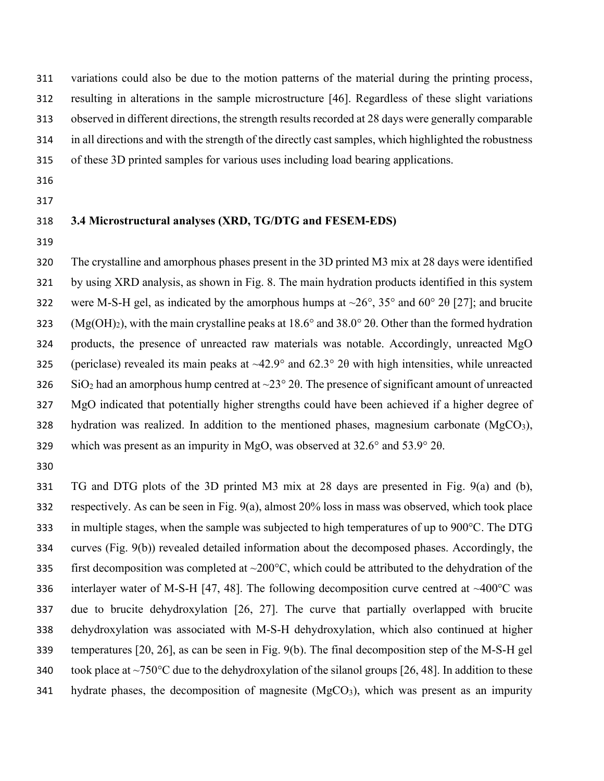variations could also be due to the motion patterns of the material during the printing process, resulting in alterations in the sample microstructure [46]. Regardless of these slight variations observed in different directions, the strength results recorded at 28 days were generally comparable in all directions and with the strength of the directly cast samples, which highlighted the robustness

- of these 3D printed samples for various uses including load bearing applications.
- 
- 

# **3.4 Microstructural analyses (XRD, TG/DTG and FESEM-EDS)**

 The crystalline and amorphous phases present in the 3D printed M3 mix at 28 days were identified by using XRD analysis, as shown in Fig. 8. The main hydration products identified in this system 322 were M-S-H gel, as indicated by the amorphous humps at  $\sim$ 26°, 35° and 60° 2 $\theta$  [27]; and brucite (Mg(OH)2), with the main crystalline peaks at 18.6° and 38.0° 2θ. Other than the formed hydration products, the presence of unreacted raw materials was notable. Accordingly, unreacted MgO 325 (periclase) revealed its main peaks at  $\sim$ 42.9° and 62.3° 20 with high intensities, while unreacted 326 SiO<sub>2</sub> had an amorphous hump centred at  $\sim$ 23° 2 $\theta$ . The presence of significant amount of unreacted MgO indicated that potentially higher strengths could have been achieved if a higher degree of 328 hydration was realized. In addition to the mentioned phases, magnesium carbonate  $(MgCO<sub>3</sub>)$ , which was present as an impurity in MgO, was observed at 32.6° and 53.9° 2θ.

 TG and DTG plots of the 3D printed M3 mix at 28 days are presented in Fig. 9(a) and (b), respectively. As can be seen in Fig. 9(a), almost 20% loss in mass was observed, which took place in multiple stages, when the sample was subjected to high temperatures of up to 900°C. The DTG curves (Fig. 9(b)) revealed detailed information about the decomposed phases. Accordingly, the 335 first decomposition was completed at  $\sim$ 200 $^{\circ}$ C, which could be attributed to the dehydration of the 336 interlayer water of M-S-H [47, 48]. The following decomposition curve centred at  $\sim$ 400 $^{\circ}$ C was due to brucite dehydroxylation [26, 27]. The curve that partially overlapped with brucite dehydroxylation was associated with M-S-H dehydroxylation, which also continued at higher temperatures [20, 26], as can be seen in Fig. 9(b). The final decomposition step of the M-S-H gel 340 took place at  $\sim$ 750°C due to the dehydroxylation of the silanol groups [26, 48]. In addition to these 341 hydrate phases, the decomposition of magnesite  $(MgCO<sub>3</sub>)$ , which was present as an impurity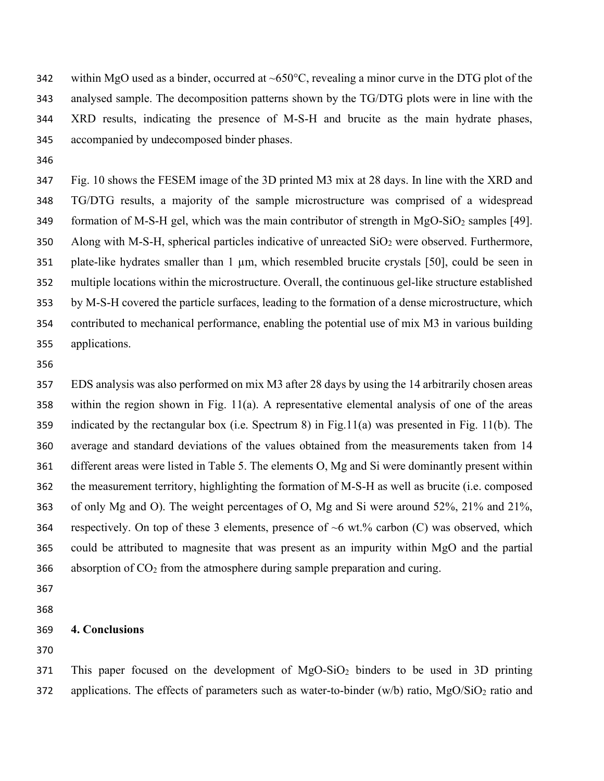342 within MgO used as a binder, occurred at ~650 $^{\circ}$ C, revealing a minor curve in the DTG plot of the analysed sample. The decomposition patterns shown by the TG/DTG plots were in line with the XRD results, indicating the presence of M-S-H and brucite as the main hydrate phases, accompanied by undecomposed binder phases.

 Fig. 10 shows the FESEM image of the 3D printed M3 mix at 28 days. In line with the XRD and TG/DTG results, a majority of the sample microstructure was comprised of a widespread 349 formation of M-S-H gel, which was the main contributor of strength in  $MgO-SiO<sub>2</sub>$  samples [49]. 350 Along with M-S-H, spherical particles indicative of unreacted  $SiO<sub>2</sub>$  were observed. Furthermore, plate-like hydrates smaller than 1 µm, which resembled brucite crystals [50], could be seen in multiple locations within the microstructure. Overall, the continuous gel-like structure established by M-S-H covered the particle surfaces, leading to the formation of a dense microstructure, which contributed to mechanical performance, enabling the potential use of mix M3 in various building applications.

 EDS analysis was also performed on mix M3 after 28 days by using the 14 arbitrarily chosen areas within the region shown in Fig. 11(a). A representative elemental analysis of one of the areas indicated by the rectangular box (i.e. Spectrum 8) in Fig.11(a) was presented in Fig. 11(b). The average and standard deviations of the values obtained from the measurements taken from 14 different areas were listed in Table 5. The elements O, Mg and Si were dominantly present within the measurement territory, highlighting the formation of M-S-H as well as brucite (i.e. composed of only Mg and O). The weight percentages of O, Mg and Si were around 52%, 21% and 21%, 364 respectively. On top of these 3 elements, presence of  $\sim$ 6 wt.% carbon (C) was observed, which could be attributed to magnesite that was present as an impurity within MgO and the partial 366 absorption of  $CO<sub>2</sub>$  from the atmosphere during sample preparation and curing.

 

## **4. Conclusions**

 This paper focused on the development of MgO-SiO<sup>2</sup> binders to be used in 3D printing 372 applications. The effects of parameters such as water-to-binder (w/b) ratio,  $MgO/SiO<sub>2</sub>$  ratio and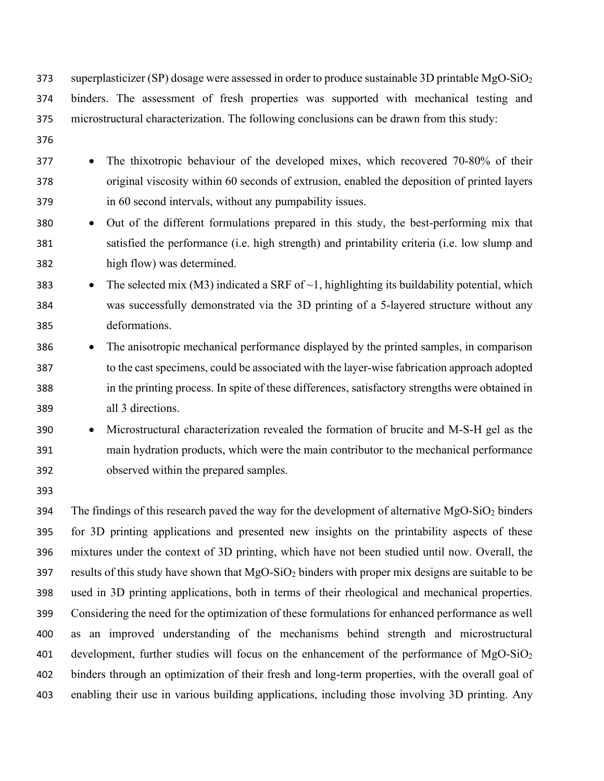373 superplasticizer (SP) dosage were assessed in order to produce sustainable 3D printable  $MgO-SiO<sub>2</sub>$  binders. The assessment of fresh properties was supported with mechanical testing and microstructural characterization. The following conclusions can be drawn from this study:

- 
- The thixotropic behaviour of the developed mixes, which recovered 70-80% of their original viscosity within 60 seconds of extrusion, enabled the deposition of printed layers in 60 second intervals, without any pumpability issues.
- Out of the different formulations prepared in this study, the best-performing mix that satisfied the performance (i.e. high strength) and printability criteria (i.e. low slump and high flow) was determined.
- 383 The selected mix (M3) indicated a SRF of  $\sim$  1, highlighting its buildability potential, which was successfully demonstrated via the 3D printing of a 5-layered structure without any deformations.
- The anisotropic mechanical performance displayed by the printed samples, in comparison to the cast specimens, could be associated with the layer-wise fabrication approach adopted in the printing process. In spite of these differences, satisfactory strengths were obtained in all 3 directions.
- Microstructural characterization revealed the formation of brucite and M-S-H gel as the main hydration products, which were the main contributor to the mechanical performance observed within the prepared samples.
- 

394 The findings of this research paved the way for the development of alternative  $MgO-SiO<sub>2</sub>$  binders for 3D printing applications and presented new insights on the printability aspects of these mixtures under the context of 3D printing, which have not been studied until now. Overall, the 397 results of this study have shown that  $MgO-SiO<sub>2</sub>$  binders with proper mix designs are suitable to be used in 3D printing applications, both in terms of their rheological and mechanical properties. Considering the need for the optimization of these formulations for enhanced performance as well as an improved understanding of the mechanisms behind strength and microstructural 401 development, further studies will focus on the enhancement of the performance of  $MgO-SiO<sub>2</sub>$  binders through an optimization of their fresh and long-term properties, with the overall goal of enabling their use in various building applications, including those involving 3D printing. Any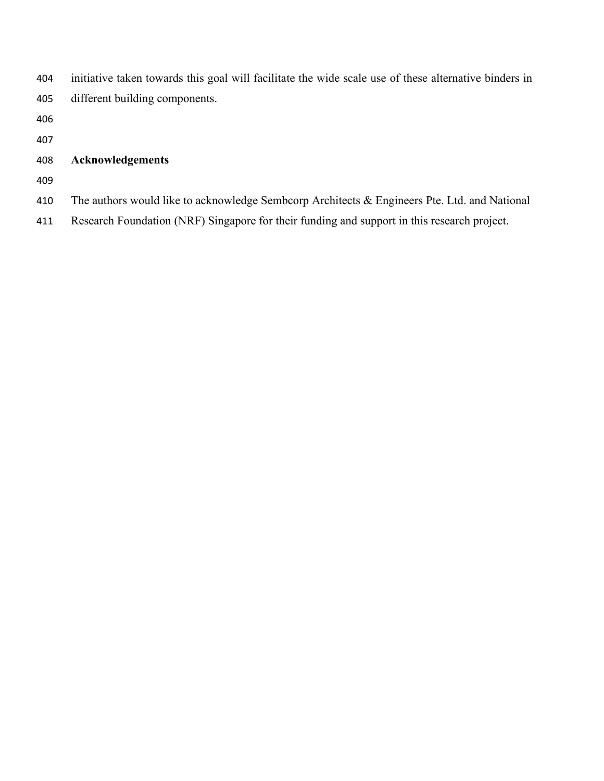| 404 | initiative taken towards this goal will facilitate the wide scale use of these alternative binders in |
|-----|-------------------------------------------------------------------------------------------------------|
| 405 | different building components.                                                                        |
| 406 |                                                                                                       |
| 407 |                                                                                                       |

# **Acknowledgements**

- 
- 410 The authors would like to acknowledge Sembcorp Architects & Engineers Pte. Ltd. and National
- Research Foundation (NRF) Singapore for their funding and support in this research project.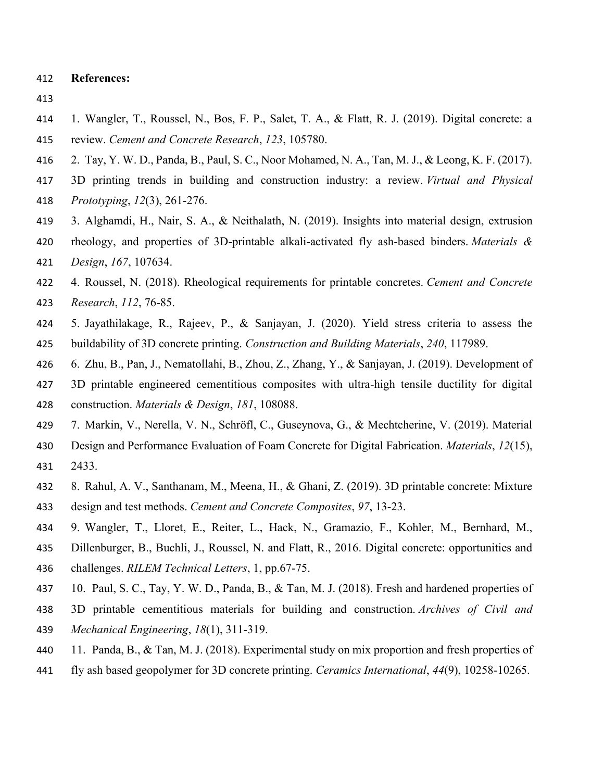#### **References:**

- 
- 1. Wangler, T., Roussel, N., Bos, F. P., Salet, T. A., & Flatt, R. J. (2019). Digital concrete: a review. *Cement and Concrete Research*, *123*, 105780.
- 2. Tay, Y. W. D., Panda, B., Paul, S. C., Noor Mohamed, N. A., Tan, M. J., & Leong, K. F. (2017).
- 3D printing trends in building and construction industry: a review. *Virtual and Physical*
- *Prototyping*, *12*(3), 261-276.
- 3. Alghamdi, H., Nair, S. A., & Neithalath, N. (2019). Insights into material design, extrusion
- rheology, and properties of 3D-printable alkali-activated fly ash-based binders. *Materials & Design*, *167*, 107634.
- 4. Roussel, N. (2018). Rheological requirements for printable concretes. *Cement and Concrete Research*, *112*, 76-85.
- 5. Jayathilakage, R., Rajeev, P., & Sanjayan, J. (2020). Yield stress criteria to assess the buildability of 3D concrete printing. *Construction and Building Materials*, *240*, 117989.
- 6. Zhu, B., Pan, J., Nematollahi, B., Zhou, Z., Zhang, Y., & Sanjayan, J. (2019). Development of
- 3D printable engineered cementitious composites with ultra-high tensile ductility for digital construction. *Materials & Design*, *181*, 108088.
- 7. Markin, V., Nerella, V. N., Schröfl, C., Guseynova, G., & Mechtcherine, V. (2019). Material
- Design and Performance Evaluation of Foam Concrete for Digital Fabrication. *Materials*, *12*(15),
- 2433.
- 8. Rahul, A. V., Santhanam, M., Meena, H., & Ghani, Z. (2019). 3D printable concrete: Mixture
- design and test methods. *Cement and Concrete Composites*, *97*, 13-23.
- 9. Wangler, T., Lloret, E., Reiter, L., Hack, N., Gramazio, F., Kohler, M., Bernhard, M.,
- Dillenburger, B., Buchli, J., Roussel, N. and Flatt, R., 2016. Digital concrete: opportunities and challenges. *RILEM Technical Letters*, 1, pp.67-75.
- 10. Paul, S. C., Tay, Y. W. D., Panda, B., & Tan, M. J. (2018). Fresh and hardened properties of
- 3D printable cementitious materials for building and construction. *Archives of Civil and*
- *Mechanical Engineering*, *18*(1), 311-319.
- 11. Panda, B., & Tan, M. J. (2018). Experimental study on mix proportion and fresh properties of
- fly ash based geopolymer for 3D concrete printing. *Ceramics International*, *44*(9), 10258-10265.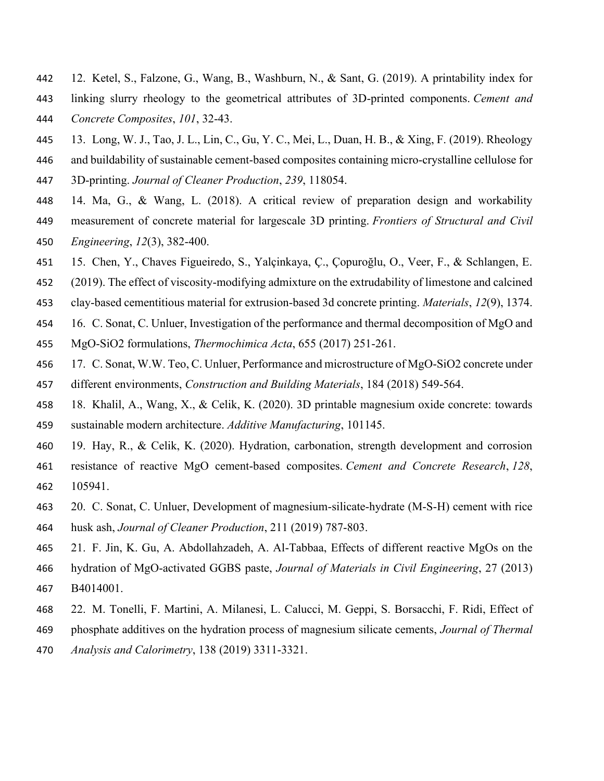- 12. Ketel, S., Falzone, G., Wang, B., Washburn, N., & Sant, G. (2019). A printability index for
- linking slurry rheology to the geometrical attributes of 3D-printed components. *Cement and*
- *Concrete Composites*, *101*, 32-43.
- 13. Long, W. J., Tao, J. L., Lin, C., Gu, Y. C., Mei, L., Duan, H. B., & Xing, F. (2019). Rheology
- and buildability of sustainable cement-based composites containing micro-crystalline cellulose for
- 3D-printing. *Journal of Cleaner Production*, *239*, 118054.
- 14. Ma, G., & Wang, L. (2018). A critical review of preparation design and workability measurement of concrete material for largescale 3D printing. *Frontiers of Structural and Civil Engineering*, *12*(3), 382-400.
- 15. Chen, Y., Chaves Figueiredo, S., Yalçinkaya, Ç., Çopuroğlu, O., Veer, F., & Schlangen, E.
- (2019). The effect of viscosity-modifying admixture on the extrudability of limestone and calcined
- clay-based cementitious material for extrusion-based 3d concrete printing. *Materials*, *12*(9), 1374.
- 454 16. C. Sonat, C. Unluer, Investigation of the performance and thermal decomposition of MgO and
- MgO-SiO2 formulations, *Thermochimica Acta*, 655 (2017) 251-261.
- 17. C. Sonat, W.W. Teo, C. Unluer, Performance and microstructure of MgO-SiO2 concrete under
- different environments, *Construction and Building Materials*, 184 (2018) 549-564.
- 18. Khalil, A., Wang, X., & Celik, K. (2020). 3D printable magnesium oxide concrete: towards sustainable modern architecture. *Additive Manufacturing*, 101145.
- 19. Hay, R., & Celik, K. (2020). Hydration, carbonation, strength development and corrosion
- resistance of reactive MgO cement-based composites. *Cement and Concrete Research*, *128*, 105941.
- 20. C. Sonat, C. Unluer, Development of magnesium-silicate-hydrate (M-S-H) cement with rice husk ash, *Journal of Cleaner Production*, 211 (2019) 787-803.
- 21. F. Jin, K. Gu, A. Abdollahzadeh, A. Al-Tabbaa, Effects of different reactive MgOs on the
- hydration of MgO-activated GGBS paste, *Journal of Materials in Civil Engineering*, 27 (2013) B4014001.
- 22. M. Tonelli, F. Martini, A. Milanesi, L. Calucci, M. Geppi, S. Borsacchi, F. Ridi, Effect of
- phosphate additives on the hydration process of magnesium silicate cements, *Journal of Thermal*
- *Analysis and Calorimetry*, 138 (2019) 3311-3321.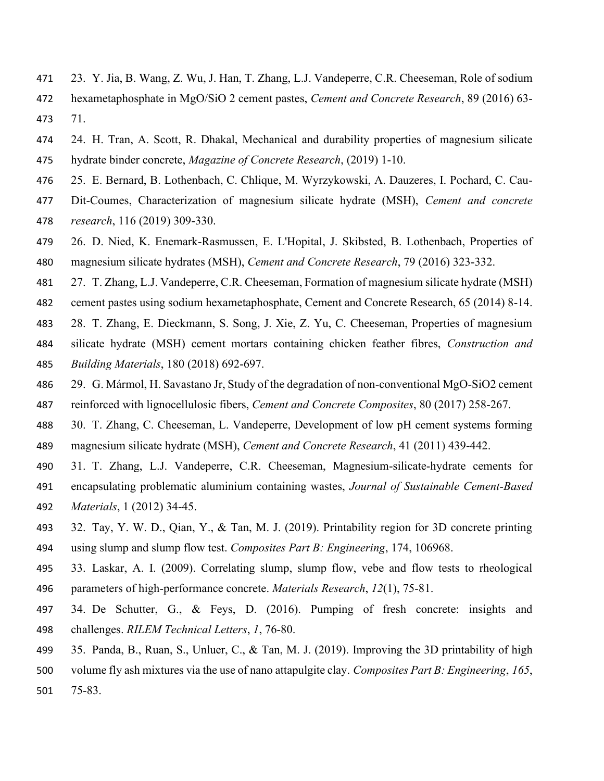- 23. Y. Jia, B. Wang, Z. Wu, J. Han, T. Zhang, L.J. Vandeperre, C.R. Cheeseman, Role of sodium
- hexametaphosphate in MgO/SiO 2 cement pastes, *Cement and Concrete Research*, 89 (2016) 63- 71.
- 24. H. Tran, A. Scott, R. Dhakal, Mechanical and durability properties of magnesium silicate hydrate binder concrete, *Magazine of Concrete Research*, (2019) 1-10.
- 25. E. Bernard, B. Lothenbach, C. Chlique, M. Wyrzykowski, A. Dauzeres, I. Pochard, C. Cau-
- Dit-Coumes, Characterization of magnesium silicate hydrate (MSH), *Cement and concrete research*, 116 (2019) 309-330.
- 26. D. Nied, K. Enemark-Rasmussen, E. L'Hopital, J. Skibsted, B. Lothenbach, Properties of magnesium silicate hydrates (MSH), *Cement and Concrete Research*, 79 (2016) 323-332.
- 27. T. Zhang, L.J. Vandeperre, C.R. Cheeseman, Formation of magnesium silicate hydrate (MSH)
- cement pastes using sodium hexametaphosphate, Cement and Concrete Research, 65 (2014) 8-14.
- 28. T. Zhang, E. Dieckmann, S. Song, J. Xie, Z. Yu, C. Cheeseman, Properties of magnesium
- silicate hydrate (MSH) cement mortars containing chicken feather fibres, *Construction and Building Materials*, 180 (2018) 692-697.
- 29. G. Mármol, H. Savastano Jr, Study of the degradation of non-conventional MgO-SiO2 cement
- reinforced with lignocellulosic fibers, *Cement and Concrete Composites*, 80 (2017) 258-267.
- 30. T. Zhang, C. Cheeseman, L. Vandeperre, Development of low pH cement systems forming magnesium silicate hydrate (MSH), *Cement and Concrete Research*, 41 (2011) 439-442.
- 31. T. Zhang, L.J. Vandeperre, C.R. Cheeseman, Magnesium-silicate-hydrate cements for encapsulating problematic aluminium containing wastes, *Journal of Sustainable Cement-Based Materials*, 1 (2012) 34-45.
- 32. Tay, Y. W. D., Qian, Y., & Tan, M. J. (2019). Printability region for 3D concrete printing using slump and slump flow test. *Composites Part B: Engineering*, 174, 106968.
- 33. Laskar, A. I. (2009). Correlating slump, slump flow, vebe and flow tests to rheological parameters of high-performance concrete. *Materials Research*, *12*(1), 75-81.
- 34. De Schutter, G., & Feys, D. (2016). Pumping of fresh concrete: insights and challenges. *RILEM Technical Letters*, *1*, 76-80.
- 35. Panda, B., Ruan, S., Unluer, C., & Tan, M. J. (2019). Improving the 3D printability of high
- volume fly ash mixtures via the use of nano attapulgite clay. *Composites Part B: Engineering*, *165*,
- 75-83.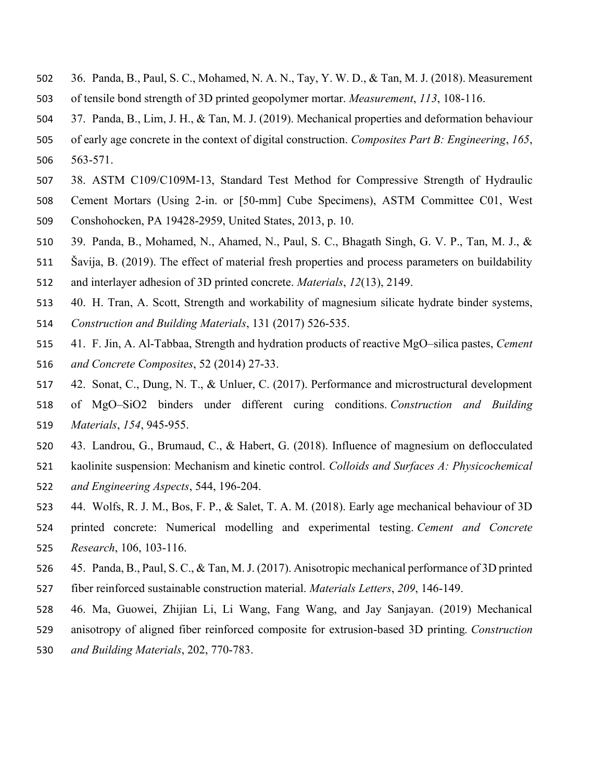- 36. Panda, B., Paul, S. C., Mohamed, N. A. N., Tay, Y. W. D., & Tan, M. J. (2018). Measurement
- of tensile bond strength of 3D printed geopolymer mortar. *Measurement*, *113*, 108-116.
- 37. Panda, B., Lim, J. H., & Tan, M. J. (2019). Mechanical properties and deformation behaviour
- of early age concrete in the context of digital construction. *Composites Part B: Engineering*, *165*, 563-571.
- 38. ASTM C109/C109M-13, Standard Test Method for Compressive Strength of Hydraulic
- Cement Mortars (Using 2-in. or [50-mm] Cube Specimens), ASTM Committee C01, West
- Conshohocken, PA 19428-2959, United States, 2013, p. 10.
- 39. Panda, B., Mohamed, N., Ahamed, N., Paul, S. C., Bhagath Singh, G. V. P., Tan, M. J., &
- Šavija, B. (2019). The effect of material fresh properties and process parameters on buildability
- and interlayer adhesion of 3D printed concrete. *Materials*, *12*(13), 2149.
- 40. H. Tran, A. Scott, Strength and workability of magnesium silicate hydrate binder systems, *Construction and Building Materials*, 131 (2017) 526-535.
- 41. F. Jin, A. Al-Tabbaa, Strength and hydration products of reactive MgO–silica pastes, *Cement and Concrete Composites*, 52 (2014) 27-33.
- 42. Sonat, C., Dung, N. T., & Unluer, C. (2017). Performance and microstructural development
- of MgO–SiO2 binders under different curing conditions. *Construction and Building Materials*, *154*, 945-955.
- 43. Landrou, G., Brumaud, C., & Habert, G. (2018). Influence of magnesium on deflocculated
- kaolinite suspension: Mechanism and kinetic control. *Colloids and Surfaces A: Physicochemical*
- *and Engineering Aspects*, 544, 196-204.
- 44. Wolfs, R. J. M., Bos, F. P., & Salet, T. A. M. (2018). Early age mechanical behaviour of 3D
- printed concrete: Numerical modelling and experimental testing. *Cement and Concrete Research*, 106, 103-116.
- 45. Panda, B., Paul, S. C., & Tan, M. J. (2017). Anisotropic mechanical performance of 3D printed
- fiber reinforced sustainable construction material. *Materials Letters*, *209*, 146-149.
- 46. Ma, Guowei, Zhijian Li, Li Wang, Fang Wang, and Jay Sanjayan. (2019) Mechanical
- anisotropy of aligned fiber reinforced composite for extrusion-based 3D printing*. Construction*
- *and Building Materials*, 202, 770-783.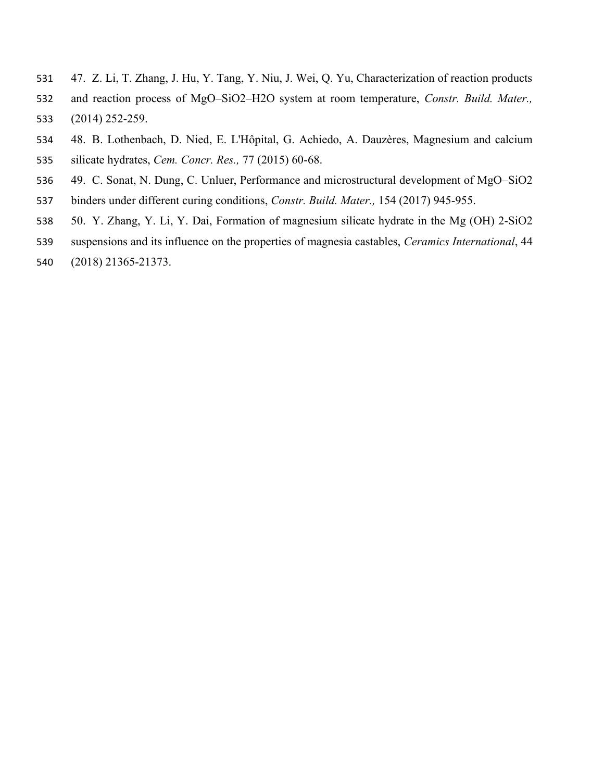- 47. Z. Li, T. Zhang, J. Hu, Y. Tang, Y. Niu, J. Wei, Q. Yu, Characterization of reaction products
- and reaction process of MgO–SiO2–H2O system at room temperature, *Constr. Build. Mater.,* (2014) 252-259.
- 48. B. Lothenbach, D. Nied, E. L'Hôpital, G. Achiedo, A. Dauzères, Magnesium and calcium silicate hydrates, *Cem. Concr. Res.,* 77 (2015) 60-68.
- 49. C. Sonat, N. Dung, C. Unluer, Performance and microstructural development of MgO–SiO2
- binders under different curing conditions, *Constr. Build. Mater.,* 154 (2017) 945-955.
- 50. Y. Zhang, Y. Li, Y. Dai, Formation of magnesium silicate hydrate in the Mg (OH) 2-SiO2
- suspensions and its influence on the properties of magnesia castables, *Ceramics International*, 44
- (2018) 21365-21373.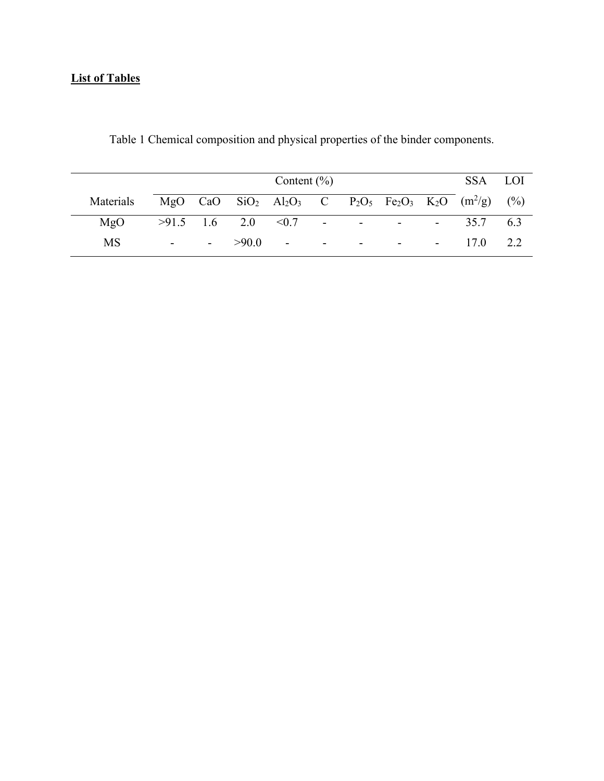# **List of Tables**

|           |                      |                          | Content $(\% )$             |  |  | SSA LOI                                                                                                                                                         |  |
|-----------|----------------------|--------------------------|-----------------------------|--|--|-----------------------------------------------------------------------------------------------------------------------------------------------------------------|--|
| Materials |                      |                          |                             |  |  | MgO CaO SiO <sub>2</sub> Al <sub>2</sub> O <sub>3</sub> C P <sub>2</sub> O <sub>5</sub> Fe <sub>2</sub> O <sub>3</sub> K <sub>2</sub> O (m <sup>2</sup> /g) (%) |  |
| MgO       |                      |                          | $>91.5$ 1.6 2.0 < 0.7 - - - |  |  | $-35.7$ 6.3                                                                                                                                                     |  |
| <b>MS</b> | <b>All Contracts</b> | $\overline{\phantom{a}}$ |                             |  |  | $>90.0$ $     17.0$ $2.2$                                                                                                                                       |  |

Table 1 Chemical composition and physical properties of the binder components.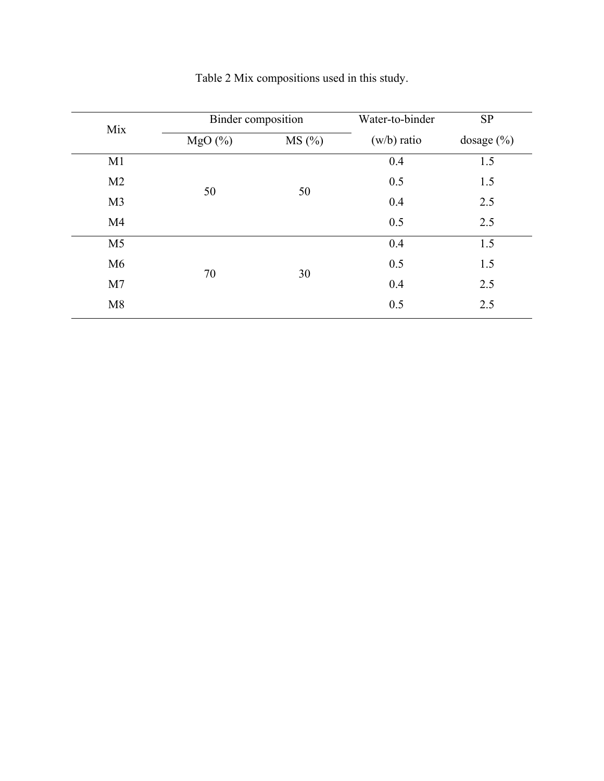| Mix            | <b>Binder</b> composition |       | Water-to-binder | <b>SP</b>      |  |
|----------------|---------------------------|-------|-----------------|----------------|--|
|                | MgO(%)                    | MS(%) | $(w/b)$ ratio   | dosage $(\% )$ |  |
| M1             |                           |       | 0.4             | 1.5            |  |
| M <sub>2</sub> | 50                        | 50    | 0.5             | 1.5            |  |
| M <sub>3</sub> |                           |       | 0.4             | 2.5            |  |
| M <sub>4</sub> |                           |       | 0.5             | 2.5            |  |
| M <sub>5</sub> |                           |       | 0.4             | 1.5            |  |
| M6             | 70                        | 30    | 0.5             | 1.5            |  |
| M <sub>7</sub> |                           |       | 0.4             | 2.5            |  |
| M8             |                           |       | 0.5             | 2.5            |  |

Table 2 Mix compositions used in this study.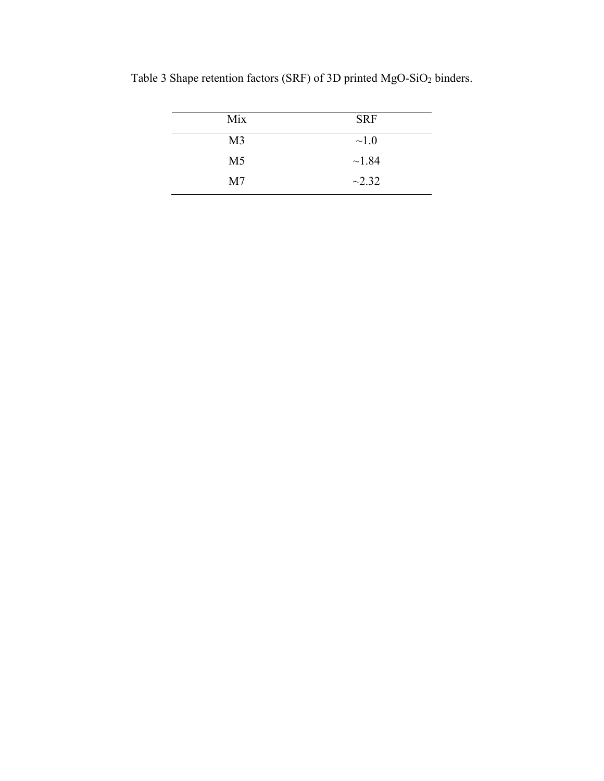| Mix            | <b>SRF</b> |
|----------------|------------|
| M <sub>3</sub> | $\sim1.0$  |
| M <sub>5</sub> | ~1.84      |
| M <sub>7</sub> | ~2.32      |

Table 3 Shape retention factors (SRF) of 3D printed MgO-SiO<sup>2</sup> binders.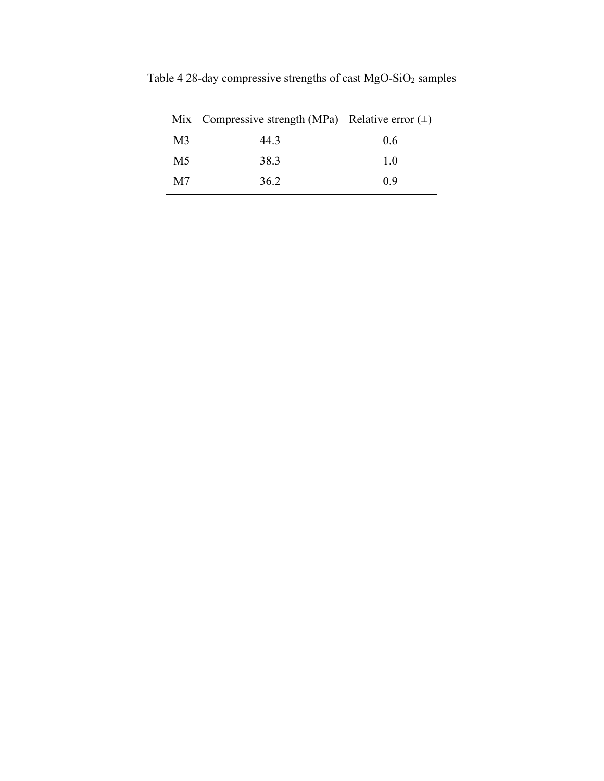|                | Mix Compressive strength (MPa) Relative error $(\pm)$ |     |
|----------------|-------------------------------------------------------|-----|
| M <sub>3</sub> | 44.3                                                  | 0.6 |
| M <sub>5</sub> | 38.3                                                  | 1.0 |
| M7             | 36.2                                                  | 0.9 |

Table 4 28-day compressive strengths of cast MgO-SiO<sup>2</sup> samples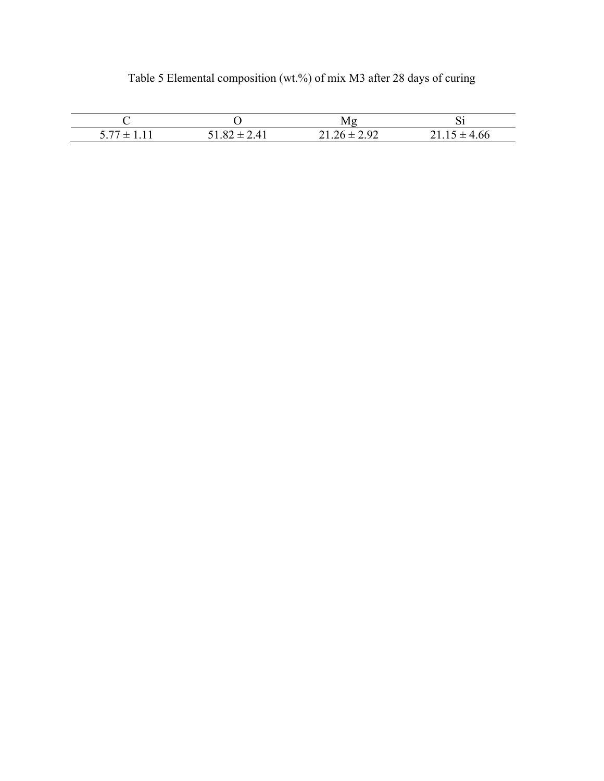| $\overline{ }$ | $\overline{16}$ |  |
|----------------|-----------------|--|

# Table 5 Elemental composition (wt.%) of mix M3 after 28 days of curing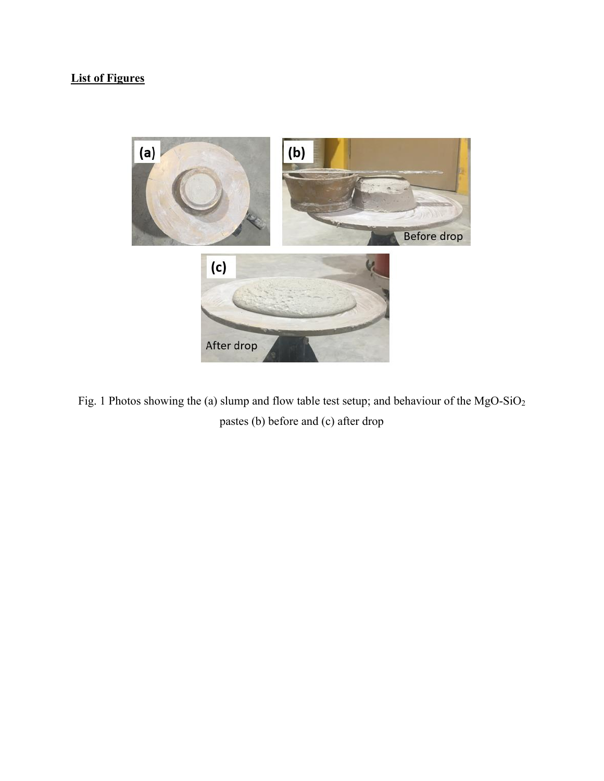# **List of Figures**



Fig. 1 Photos showing the (a) slump and flow table test setup; and behaviour of the MgO-SiO<sub>2</sub> pastes (b) before and (c) after drop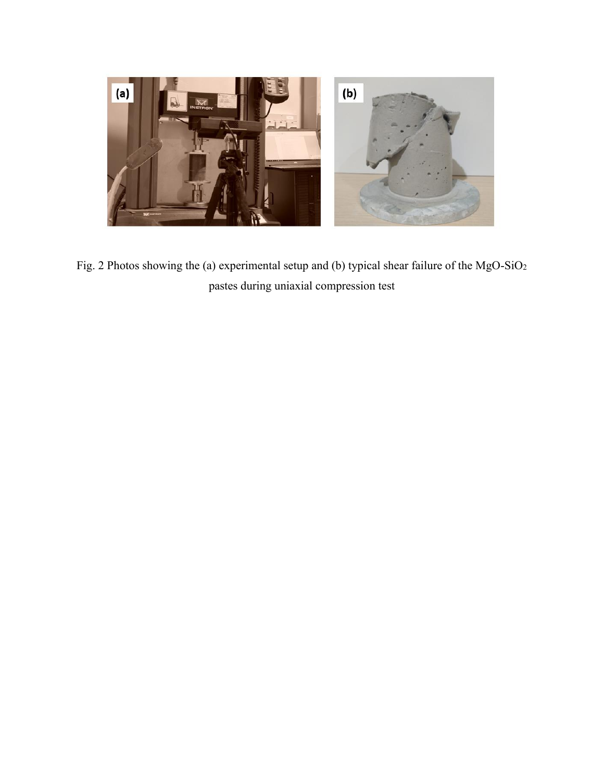

Fig. 2 Photos showing the (a) experimental setup and (b) typical shear failure of the MgO-SiO<sup>2</sup> pastes during uniaxial compression test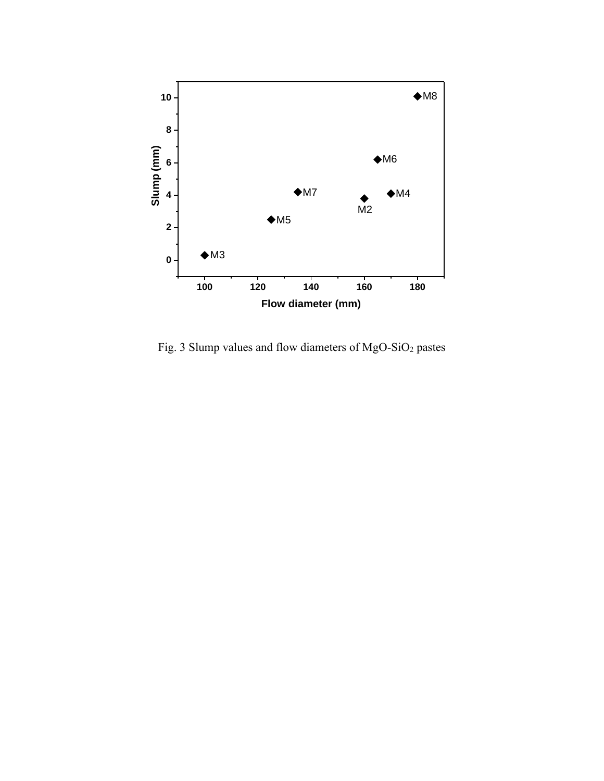

Fig. 3 Slump values and flow diameters of MgO-SiO<sup>2</sup> pastes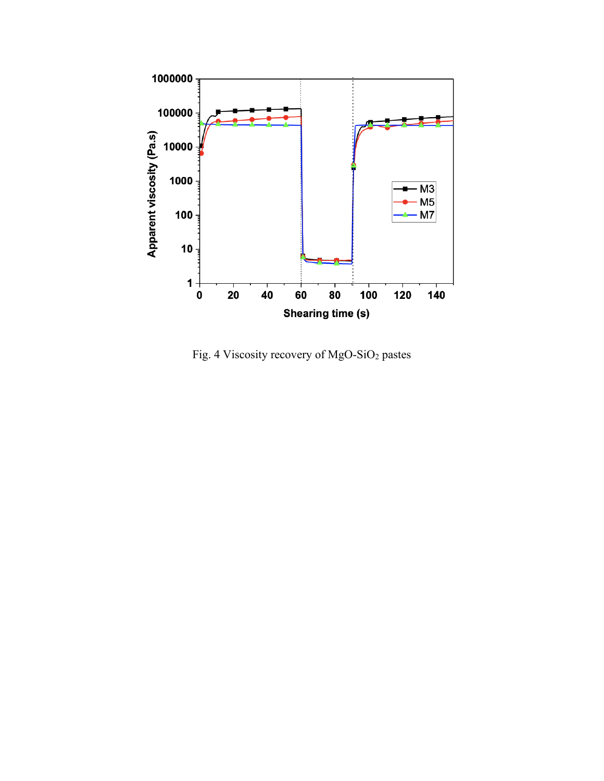

Fig. 4 Viscosity recovery of MgO-SiO<sup>2</sup> pastes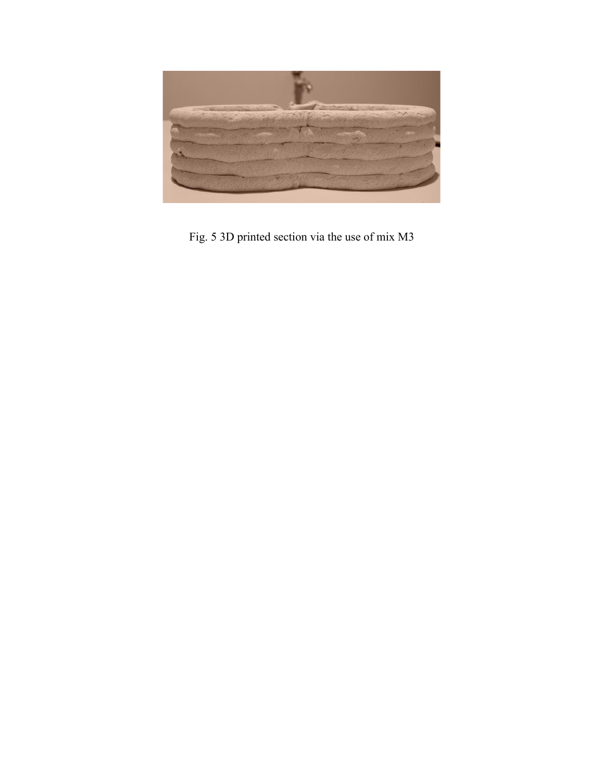

Fig. 5 3D printed section via the use of mix M3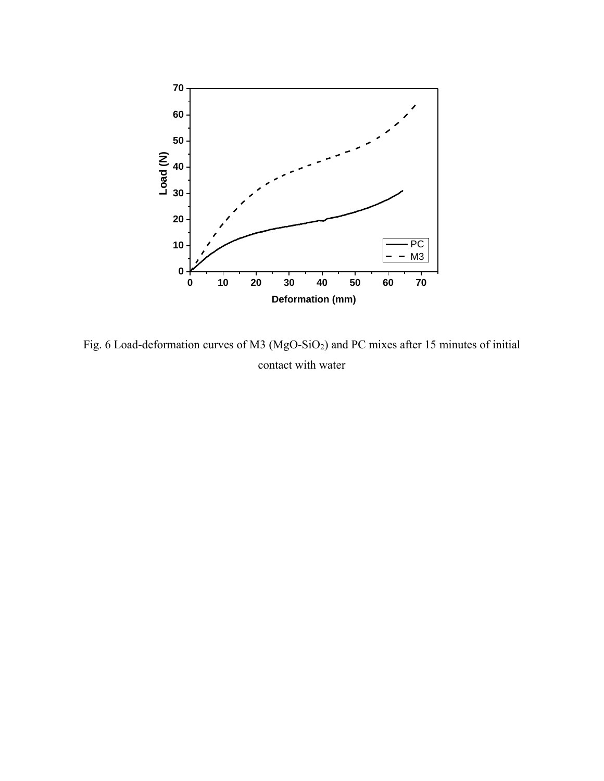

Fig. 6 Load-deformation curves of M3 (MgO-SiO2) and PC mixes after 15 minutes of initial contact with water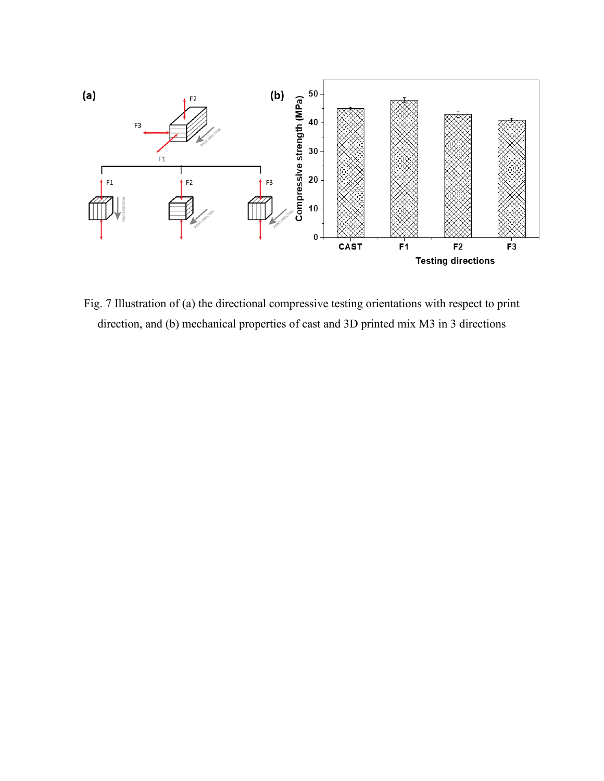

Fig. 7 Illustration of (a) the directional compressive testing orientations with respect to print direction, and (b) mechanical properties of cast and 3D printed mix M3 in 3 directions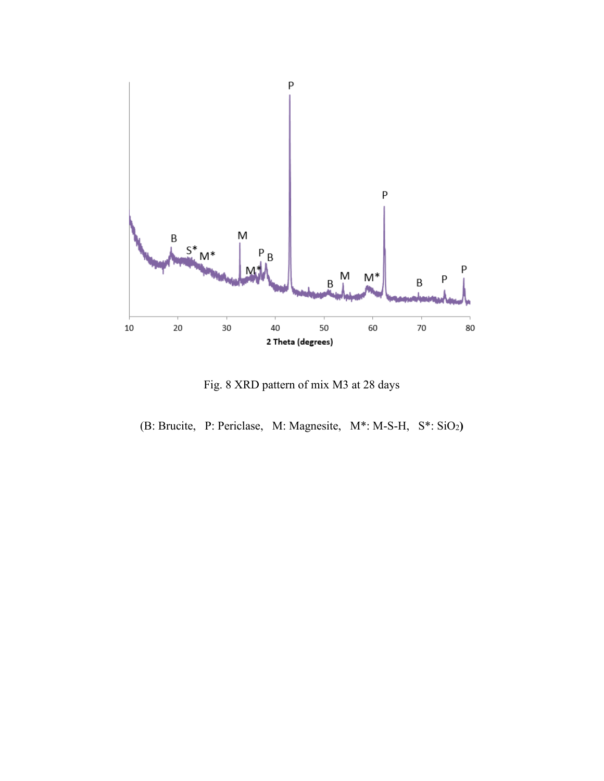

Fig. 8 XRD pattern of mix M3 at 28 days

(B: Brucite, P: Periclase, M: Magnesite, M\*: M-S-H, S\*: SiO2**)**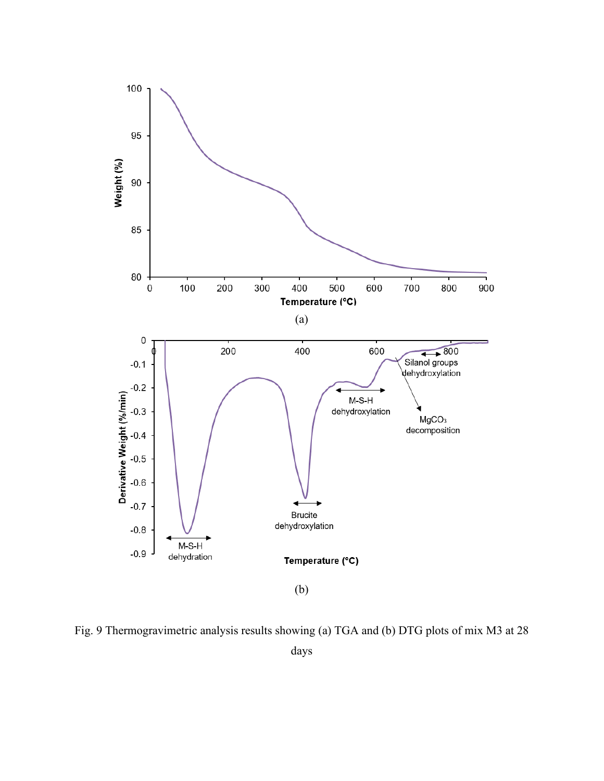

Fig. 9 Thermogravimetric analysis results showing (a) TGA and (b) DTG plots of mix M3 at 28 days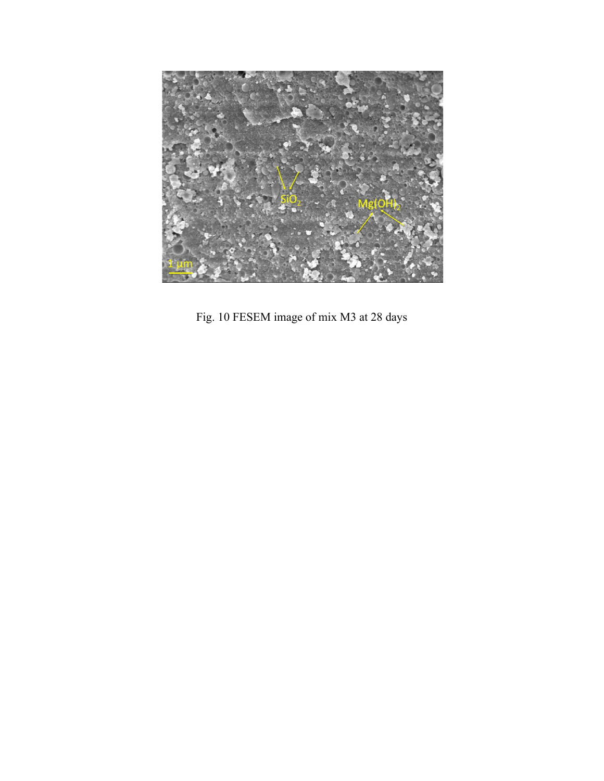

Fig. 10 FESEM image of mix M3 at 28 days